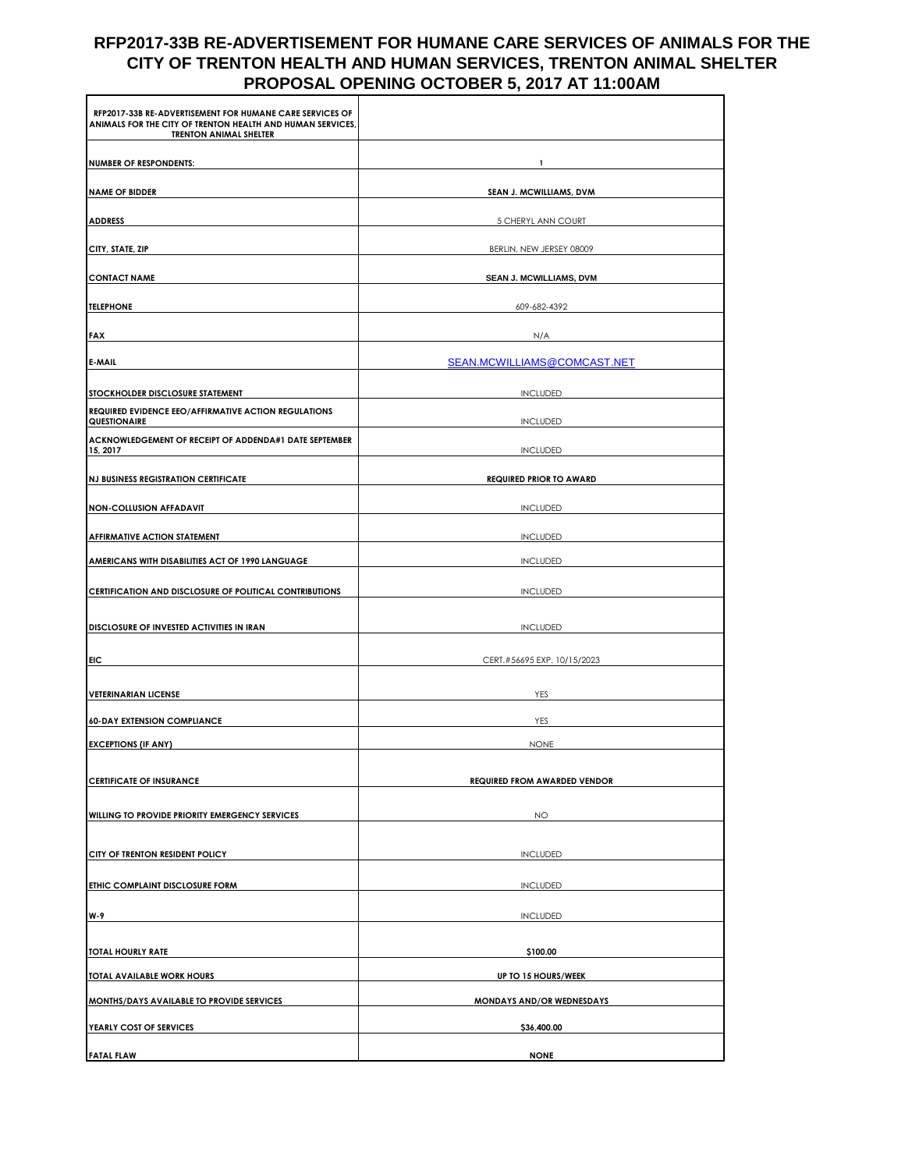## **RFP2017-33B RE-ADVERTISEMENT FOR HUMANE CARE SERVICES OF ANIMALS FOR THE CITY OF TRENTON HEALTH AND HUMAN SERVICES, TRENTON ANIMAL SHELTER PROPOSAL OPENING OCTOBER 5, 2017 AT 11:00AM**

| RFP2017-33B RE-ADVERTISEMENT FOR HUMANE CARE SERVICES OF<br>ANIMALS FOR THE CITY OF TRENTON HEALTH AND HUMAN SERVICES,<br><b>TRENTON ANIMAL SHELTER</b> |                                     |
|---------------------------------------------------------------------------------------------------------------------------------------------------------|-------------------------------------|
| <b>NUMBER OF RESPONDENTS:</b>                                                                                                                           |                                     |
| <b>NAME OF BIDDER</b>                                                                                                                                   | SEAN J. MCWILLIAMS, DVM             |
| <b>ADDRESS</b>                                                                                                                                          | 5 CHERYL ANN COURT                  |
| CITY, STATE, ZIP                                                                                                                                        | BERLIN, NEW JERSEY 08009            |
| <b>CONTACT NAME</b>                                                                                                                                     | SEAN J. MCWILLIAMS, DVM             |
| <b>TELEPHONE</b>                                                                                                                                        | 609-682-4392                        |
| <b>FAX</b>                                                                                                                                              | N/A                                 |
| E-MAIL                                                                                                                                                  | SEAN.MCWILLIAMS@COMCAST.NET         |
| STOCKHOLDER DISCLOSURE STATEMENT                                                                                                                        | <b>INCLUDED</b>                     |
| REQUIRED EVIDENCE EEO/AFFIRMATIVE ACTION REGULATIONS<br>QUESTIONAIRE                                                                                    | <b>INCLUDED</b>                     |
| ACKNOWLEDGEMENT OF RECEIPT OF ADDENDA#1 DATE SEPTEMBER<br>15, 2017                                                                                      | <b>INCLUDED</b>                     |
| <b>NJ BUSINESS REGISTRATION CERTIFICATE</b>                                                                                                             | <b>REQUIRED PRIOR TO AWARD</b>      |
| <b>NON-COLLUSION AFFADAVIT</b>                                                                                                                          | <b>INCLUDED</b>                     |
| AFFIRMATIVE ACTION STATEMENT                                                                                                                            | <b>INCLUDED</b>                     |
| AMERICANS WITH DISABILITIES ACT OF 1990 LANGUAGE                                                                                                        | <b>INCLUDED</b>                     |
| CERTIFICATION AND DISCLOSURE OF POLITICAL CONTRIBUTIONS                                                                                                 | <b>INCLUDED</b>                     |
|                                                                                                                                                         |                                     |
| DISCLOSURE OF INVESTED ACTIVITIES IN IRAN                                                                                                               | <b>INCLUDED</b>                     |
| <b>EIC</b>                                                                                                                                              | CERT.#56695 EXP. 10/15/2023         |
| <b>VETERINARIAN LICENSE</b>                                                                                                                             | YES                                 |
| <b>60-DAY EXTENSION COMPLIANCE</b>                                                                                                                      | YES                                 |
| <b>EXCEPTIONS (IF ANY)</b>                                                                                                                              | <b>NONE</b>                         |
| <b>CERTIFICATE OF INSURANCE</b>                                                                                                                         | <b>REQUIRED FROM AWARDED VENDOR</b> |
| WILLING TO PROVIDE PRIORITY EMERGENCY SERVICES                                                                                                          | <b>NO</b>                           |
|                                                                                                                                                         |                                     |
| CITY OF TRENTON RESIDENT POLICY                                                                                                                         | <b>INCLUDED</b>                     |
| ETHIC COMPLAINT DISCLOSURE FORM                                                                                                                         | <b>INCLUDED</b>                     |
| W-9                                                                                                                                                     | <b>INCLUDED</b>                     |
| <b>TOTAL HOURLY RATE</b>                                                                                                                                | \$100.00                            |
| TOTAL AVAILABLE WORK HOURS                                                                                                                              | UP TO 15 HOURS/WEEK                 |
| MONTHS/DAYS AVAILABLE TO PROVIDE SERVICES                                                                                                               | MONDAYS AND/OR WEDNESDAYS           |
| YEARLY COST OF SERVICES                                                                                                                                 | \$36,400.00                         |
| <b>FATAL FLAW</b>                                                                                                                                       | <b>NONE</b>                         |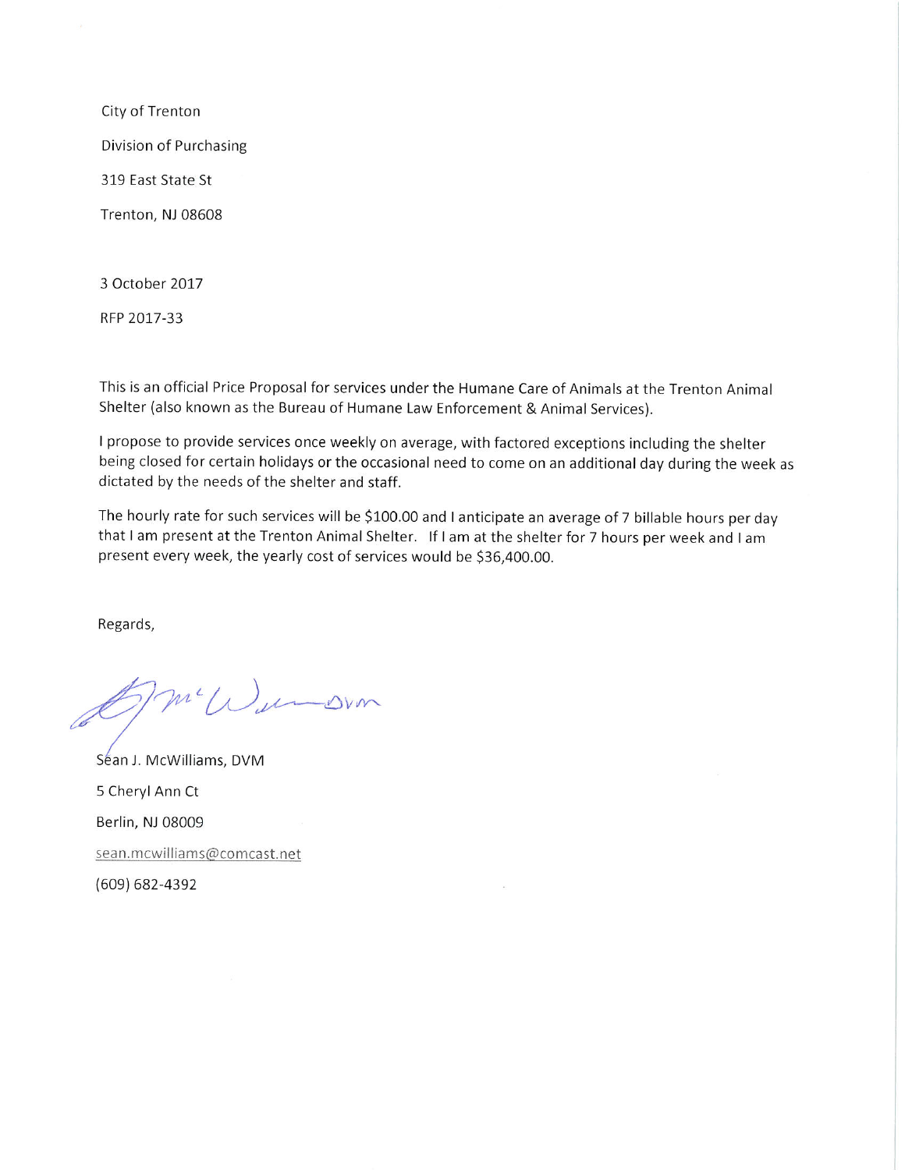City of Trenton Division of Purchasing 319 East State St Trenton, NJ 08608

3 October 2017

RFP 2017-33

This is an official Price Proposal for services under the Humane Care of Animals at the Trenton Animal Shelter (also known as the Bureau of Humane Law Enforcement & Animal Services).

I propose to provide services once weekly on average, with factored exceptions including the shelter being closed for certain holidays or the occasional need to come on an additional day during the week as dictated by the needs of the shelter and staff.

The hourly rate for such services will be \$100.00 and I anticipate an average of 7 billable hours per day that I am present at the Trenton Animal Shelter. If I am at the shelter for 7 hours per week and I am present every week, the yearly cost of services would be \$36,400.00.

Regards,

5m Wurden

Séan J. McWilliams, DVM 5 Cheryl Ann Ct Berlin, NJ 08009 sean.mcwilliams@comcast.net  $(609) 682 - 4392$